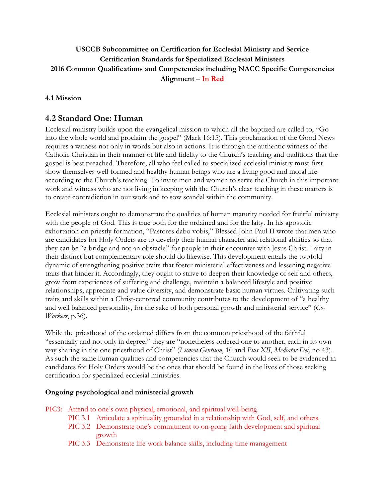# **USCCB Subcommittee on Certification for Ecclesial Ministry and Service Certification Standards for Specialized Ecclesial Ministers 2016 Common Qualifications and Competencies including NACC Specific Competencies Alignment – In Red**

### **4.1 Mission**

# **4.2 Standard One: Human**

Ecclesial ministry builds upon the evangelical mission to which all the baptized are called to, "Go into the whole world and proclaim the gospel" (Mark 16:15). This proclamation of the Good News requires a witness not only in words but also in actions. It is through the authentic witness of the Catholic Christian in their manner of life and fidelity to the Church's teaching and traditions that the gospel is best preached. Therefore, all who feel called to specialized ecclesial ministry must first show themselves well-formed and healthy human beings who are a living good and moral life according to the Church's teaching. To invite men and women to serve the Church in this important work and witness who are not living in keeping with the Church's clear teaching in these matters is to create contradiction in our work and to sow scandal within the community.

Ecclesial ministers ought to demonstrate the qualities of human maturity needed for fruitful ministry with the people of God. This is true both for the ordained and for the laity. In his apostolic exhortation on priestly formation, "Pastores dabo vobis," Blessed John Paul II wrote that men who are candidates for Holy Orders are to develop their human character and relational abilities so that they can be "a bridge and not an obstacle" for people in their encounter with Jesus Christ. Laity in their distinct but complementary role should do likewise. This development entails the twofold dynamic of strengthening positive traits that foster ministerial effectiveness and lessening negative traits that hinder it. Accordingly, they ought to strive to deepen their knowledge of self and others, grow from experiences of suffering and challenge, maintain a balanced lifestyle and positive relationships, appreciate and value diversity, and demonstrate basic human virtues. Cultivating such traits and skills within a Christ-centered community contributes to the development of "a healthy and well balanced personality, for the sake of both personal growth and ministerial service" (*Co-Workers*, p.36).

While the priesthood of the ordained differs from the common priesthood of the faithful "essentially and not only in degree," they are "nonetheless ordered one to another, each in its own way sharing in the one priesthood of Christ" (*Lumen Gentium*, 10 and *Pius XII*, *Mediator Dei,* no 43). As such the same human qualities and competencies that the Church would seek to be evidenced in candidates for Holy Orders would be the ones that should be found in the lives of those seeking certification for specialized ecclesial ministries.

### **Ongoing psychological and ministerial growth**

PIC3: Attend to one's own physical, emotional, and spiritual well-being.

- PIC 3.1 Articulate a spirituality grounded in a relationship with God, self, and others.
- PIC 3.2 Demonstrate one's commitment to on-going faith development and spiritual growth
- PIC 3.3 Demonstrate life-work balance skills, including time management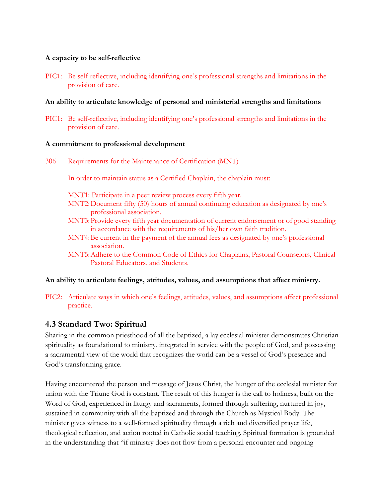### **A capacity to be self-reflective**

PIC1: Be self-reflective, including identifying one's professional strengths and limitations in the provision of care.

### **An ability to articulate knowledge of personal and ministerial strengths and limitations**

PIC1: Be self-reflective, including identifying one's professional strengths and limitations in the provision of care.

#### **A commitment to professional development**

306 Requirements for the Maintenance of Certification (MNT)

In order to maintain status as a Certified Chaplain, the chaplain must:

MNT1: Participate in a peer review process every fifth year.

- MNT2:Document fifty (50) hours of annual continuing education as designated by one's professional association.
- MNT3:Provide every fifth year documentation of current endorsement or of good standing in accordance with the requirements of his/her own faith tradition.
- MNT4:Be current in the payment of the annual fees as designated by one's professional association.
- MNT5:Adhere to the Common Code of Ethics for Chaplains, Pastoral Counselors, Clinical Pastoral Educators, and Students.

### **An ability to articulate feelings, attitudes, values, and assumptions that affect ministry.**

PIC2: Articulate ways in which one's feelings, attitudes, values, and assumptions affect professional practice.

## **4.3 Standard Two: Spiritual**

Sharing in the common priesthood of all the baptized, a lay ecclesial minister demonstrates Christian spirituality as foundational to ministry, integrated in service with the people of God, and possessing a sacramental view of the world that recognizes the world can be a vessel of God's presence and God's transforming grace.

Having encountered the person and message of Jesus Christ, the hunger of the ecclesial minister for union with the Triune God is constant. The result of this hunger is the call to holiness, built on the Word of God, experienced in liturgy and sacraments, formed through suffering, nurtured in joy, sustained in community with all the baptized and through the Church as Mystical Body. The minister gives witness to a well-formed spirituality through a rich and diversified prayer life, theological reflection, and action rooted in Catholic social teaching. Spiritual formation is grounded in the understanding that "if ministry does not flow from a personal encounter and ongoing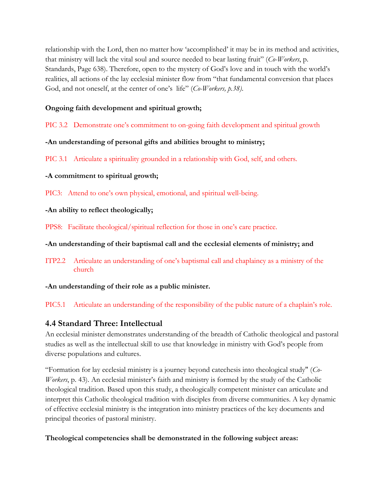relationship with the Lord, then no matter how 'accomplished' it may be in its method and activities, that ministry will lack the vital soul and source needed to bear lasting fruit" (*Co-Workers*, p. Standards, Page 638). Therefore, open to the mystery of God's love and in touch with the world's realities, all actions of the lay ecclesial minister flow from "that fundamental conversion that places God, and not oneself, at the center of one's life" (*Co-Workers, p.38)*.

## **Ongoing faith development and spiritual growth;**

PIC 3.2 Demonstrate one's commitment to on-going faith development and spiritual growth

# **-An understanding of personal gifts and abilities brought to ministry;**

PIC 3.1 Articulate a spirituality grounded in a relationship with God, self, and others.

# **-A commitment to spiritual growth;**

PIC3: Attend to one's own physical, emotional, and spiritual well-being.

# **-An ability to reflect theologically;**

PPS8: Facilitate theological/spiritual reflection for those in one's care practice.

# **-An understanding of their baptismal call and the ecclesial elements of ministry; and**

ITP2.2 Articulate an understanding of one's baptismal call and chaplaincy as a ministry of the church

## **-An understanding of their role as a public minister.**

PIC5.1 Articulate an understanding of the responsibility of the public nature of a chaplain's role.

# **4.4 Standard Three: Intellectual**

An ecclesial minister demonstrates understanding of the breadth of Catholic theological and pastoral studies as well as the intellectual skill to use that knowledge in ministry with God's people from diverse populations and cultures.

"Formation for lay ecclesial ministry is a journey beyond catechesis into theological study" (*Co-Workers*, p. 43). An ecclesial minister's faith and ministry is formed by the study of the Catholic theological tradition. Based upon this study, a theologically competent minister can articulate and interpret this Catholic theological tradition with disciples from diverse communities. A key dynamic of effective ecclesial ministry is the integration into ministry practices of the key documents and principal theories of pastoral ministry.

## **Theological competencies shall be demonstrated in the following subject areas:**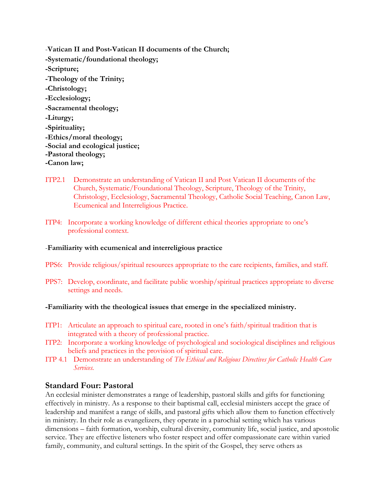- -**Vatican II and Post-Vatican II documents of the Church; -Systematic/foundational theology; -Scripture; -Theology of the Trinity; -Christology; -Ecclesiology; -Sacramental theology; -Liturgy; -Spirituality; -Ethics/moral theology; -Social and ecological justice; -Pastoral theology; -Canon law;**
- ITP2.1 Demonstrate an understanding of Vatican II and Post Vatican II documents of the Church, Systematic/Foundational Theology, Scripture, Theology of the Trinity, Christology, Ecclesiology, Sacramental Theology, Catholic Social Teaching, Canon Law, Ecumenical and Interreligious Practice.
- ITP4: Incorporate a working knowledge of different ethical theories appropriate to one's professional context.

### -**Familiarity with ecumenical and interreligious practice**

- PPS6: Provide religious/spiritual resources appropriate to the care recipients, families, and staff.
- PPS7: Develop, coordinate, and facilitate public worship/spiritual practices appropriate to diverse settings and needs.

#### **-Familiarity with the theological issues that emerge in the specialized ministry.**

- ITP1: Articulate an approach to spiritual care, rooted in one's faith/spiritual tradition that is integrated with a theory of professional practice.
- ITP2: Incorporate a working knowledge of psychological and sociological disciplines and religious beliefs and practices in the provision of spiritual care.
- ITP 4.1 Demonstrate an understanding of *The Ethical and Religious Directives for Catholic Health Care Services.*

## **Standard Four: Pastoral**

An ecclesial minister demonstrates a range of leadership, pastoral skills and gifts for functioning effectively in ministry. As a response to their baptismal call, ecclesial ministers accept the grace of leadership and manifest a range of skills, and pastoral gifts which allow them to function effectively in ministry. In their role as evangelizers, they operate in a parochial setting which has various dimensions – faith formation, worship, cultural diversity, community life, social justice, and apostolic service. They are effective listeners who foster respect and offer compassionate care within varied family, community, and cultural settings. In the spirit of the Gospel, they serve others as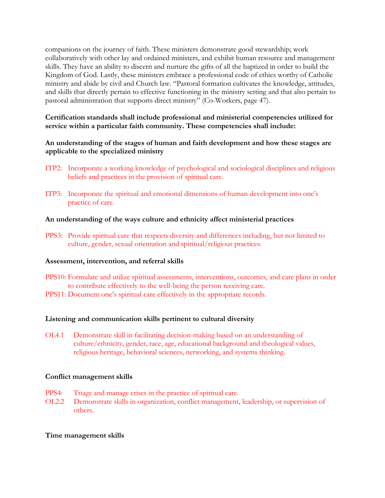companions on the journey of faith. These ministers demonstrate good stewardship; work collaboratively with other lay and ordained ministers, and exhibit human resource and management skills. They have an ability to discern and nurture the gifts of all the baptized in order to build the Kingdom of God. Lastly, these ministers embrace a professional code of ethics worthy of Catholic ministry and abide by civil and Church law. "Pastoral formation cultivates the knowledge, attitudes, and skills that directly pertain to effective functioning in the ministry setting and that also pertain to pastoral administration that supports direct ministry" (Co-Workers, page 47).

**Certification standards shall include professional and ministerial competencies utilized for service within a particular faith community. These competencies shall include:**

### **An understanding of the stages of human and faith development and how these stages are applicable to the specialized ministry**

- ITP2: Incorporate a working knowledge of psychological and sociological disciplines and religious beliefs and practices in the provision of spiritual care.
- ITP3: Incorporate the spiritual and emotional dimensions of human development into one's practice of care.

### **An understanding of the ways culture and ethnicity affect ministerial practices**

PPS3: Provide spiritual care that respects diversity and differences including, but not limited to culture, gender, sexual orientation and spiritual/religious practices.

#### **Assessment, intervention, and referral skills**

- PPS10: Formulate and utilize spiritual assessments, interventions, outcomes, and care plans in order to contribute effectively to the well-being the person receiving care.
- PPS11: Document one's spiritual care effectively in the appropriate records.

#### **Listening and communication skills pertinent to cultural diversity**

OL4.1 Demonstrate skill in facilitating decision-making based on an understanding of culture/ethnicity, gender, race, age, educational background and theological values, religious heritage, behavioral sciences, networking, and systems thinking.

#### **Conflict management skills**

- PPS4: Triage and manage crises in the practice of spiritual care.
- OL2.2 Demonstrate skills in organization, conflict management, leadership, or supervision of others.

#### **Time management skills**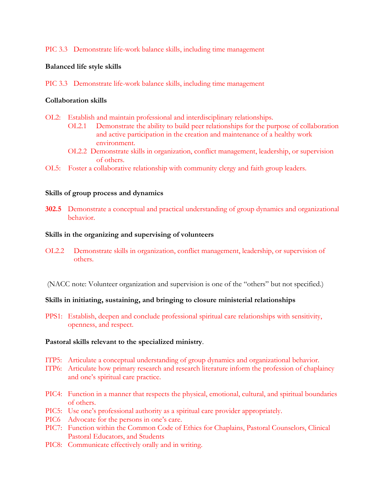### PIC 3.3 Demonstrate life-work balance skills, including time management

#### **Balanced life style skills**

PIC 3.3 Demonstrate life-work balance skills, including time management

### **Collaboration skills**

- OL2: Establish and maintain professional and interdisciplinary relationships.
	- OL2.1 Demonstrate the ability to build peer relationships for the purpose of collaboration and active participation in the creation and maintenance of a healthy work environment.
	- OL2.2 Demonstrate skills in organization, conflict management, leadership, or supervision of others.
- OL5: Foster a collaborative relationship with community clergy and faith group leaders.

#### **Skills of group process and dynamics**

**302.5** Demonstrate a conceptual and practical understanding of group dynamics and organizational behavior.

#### **Skills in the organizing and supervising of volunteers**

- OL2.2 Demonstrate skills in organization, conflict management, leadership, or supervision of others.
- (NACC note: Volunteer organization and supervision is one of the "others" but not specified.)

#### **Skills in initiating, sustaining, and bringing to closure ministerial relationships**

PPS1: Establish, deepen and conclude professional spiritual care relationships with sensitivity, openness, and respect.

#### **Pastoral skills relevant to the specialized ministry**.

- ITP5: Articulate a conceptual understanding of group dynamics and organizational behavior.
- ITP6: Articulate how primary research and research literature inform the profession of chaplaincy and one's spiritual care practice.
- PIC4: Function in a manner that respects the physical, emotional, cultural, and spiritual boundaries of others.
- PIC5: Use one's professional authority as a spiritual care provider appropriately.
- PIC6 Advocate for the persons in one's care.
- PIC7: Function within the Common Code of Ethics for Chaplains, Pastoral Counselors, Clinical Pastoral Educators, and Students
- PIC8: Communicate effectively orally and in writing.